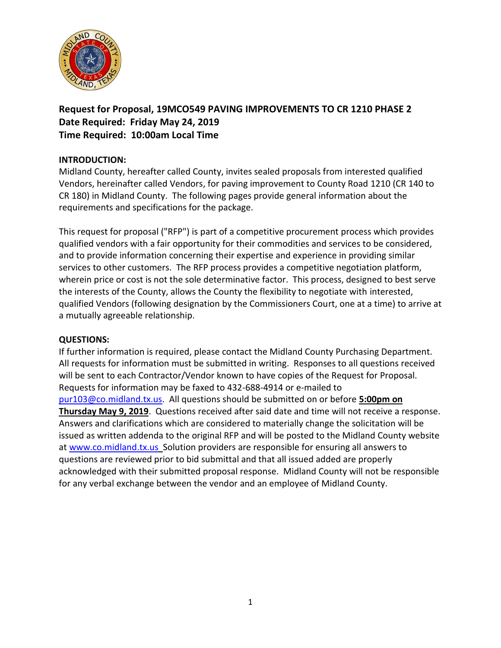

**Request for Proposal, 19MCO549 PAVING IMPROVEMENTS TO CR 1210 PHASE 2 Date Required: Friday May 24, 2019 Time Required: 10:00am Local Time**

### **INTRODUCTION:**

Midland County, hereafter called County, invites sealed proposals from interested qualified Vendors, hereinafter called Vendors, for paving improvement to County Road 1210 (CR 140 to CR 180) in Midland County. The following pages provide general information about the requirements and specifications for the package.

This request for proposal ("RFP") is part of a competitive procurement process which provides qualified vendors with a fair opportunity for their commodities and services to be considered, and to provide information concerning their expertise and experience in providing similar services to other customers. The RFP process provides a competitive negotiation platform, wherein price or cost is not the sole determinative factor. This process, designed to best serve the interests of the County, allows the County the flexibility to negotiate with interested, qualified Vendors (following designation by the Commissioners Court, one at a time) to arrive at a mutually agreeable relationship.

### **QUESTIONS:**

If further information is required, please contact the Midland County Purchasing Department. All requests for information must be submitted in writing. Responses to all questions received will be sent to each Contractor/Vendor known to have copies of the Request for Proposal. Requests for information may be faxed to 432-688-4914 or e-mailed to [pur103@co.midland.tx.us.](mailto:pur103@co.midland.tx.us) All questions should be submitted on or before **5:00pm on Thursday May 9, 2019**. Questions received after said date and time will not receive a response. Answers and clarifications which are considered to materially change the solicitation will be issued as written addenda to the original RFP and will be posted to the Midland County website at [www.co.midland.tx.us](http://www.co.midland.tx.us/) Solution providers are responsible for ensuring all answers to questions are reviewed prior to bid submittal and that all issued added are properly acknowledged with their submitted proposal response. Midland County will not be responsible for any verbal exchange between the vendor and an employee of Midland County.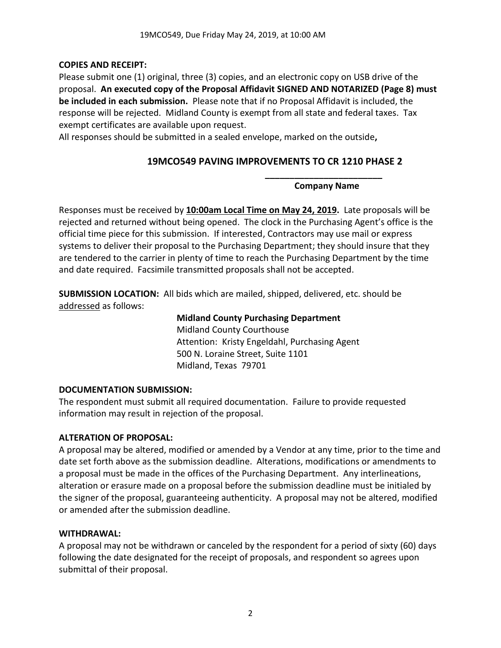## **COPIES AND RECEIPT:**

Please submit one (1) original, three (3) copies, and an electronic copy on USB drive of the proposal. **An executed copy of the Proposal Affidavit SIGNED AND NOTARIZED (Page 8) must be included in each submission.** Please note that if no Proposal Affidavit is included, the response will be rejected. Midland County is exempt from all state and federal taxes. Tax exempt certificates are available upon request.

All responses should be submitted in a sealed envelope, marked on the outside**,** 

# **19MCO549 PAVING IMPROVEMENTS TO CR 1210 PHASE 2**

**\_\_\_\_\_\_\_\_\_\_\_\_\_\_\_\_\_\_\_\_\_\_\_\_ Company Name**

Responses must be received by **10:00am Local Time on May 24, 2019.** Late proposals will be rejected and returned without being opened. The clock in the Purchasing Agent's office is the official time piece for this submission. If interested, Contractors may use mail or express systems to deliver their proposal to the Purchasing Department; they should insure that they are tendered to the carrier in plenty of time to reach the Purchasing Department by the time and date required. Facsimile transmitted proposals shall not be accepted.

**SUBMISSION LOCATION:** All bids which are mailed, shipped, delivered, etc. should be addressed as follows:

### **Midland County Purchasing Department**

Midland County Courthouse Attention: Kristy Engeldahl, Purchasing Agent 500 N. Loraine Street, Suite 1101 Midland, Texas 79701

## **DOCUMENTATION SUBMISSION:**

The respondent must submit all required documentation. Failure to provide requested information may result in rejection of the proposal.

## **ALTERATION OF PROPOSAL:**

A proposal may be altered, modified or amended by a Vendor at any time, prior to the time and date set forth above as the submission deadline. Alterations, modifications or amendments to a proposal must be made in the offices of the Purchasing Department. Any interlineations, alteration or erasure made on a proposal before the submission deadline must be initialed by the signer of the proposal, guaranteeing authenticity. A proposal may not be altered, modified or amended after the submission deadline.

### **WITHDRAWAL:**

A proposal may not be withdrawn or canceled by the respondent for a period of sixty (60) days following the date designated for the receipt of proposals, and respondent so agrees upon submittal of their proposal.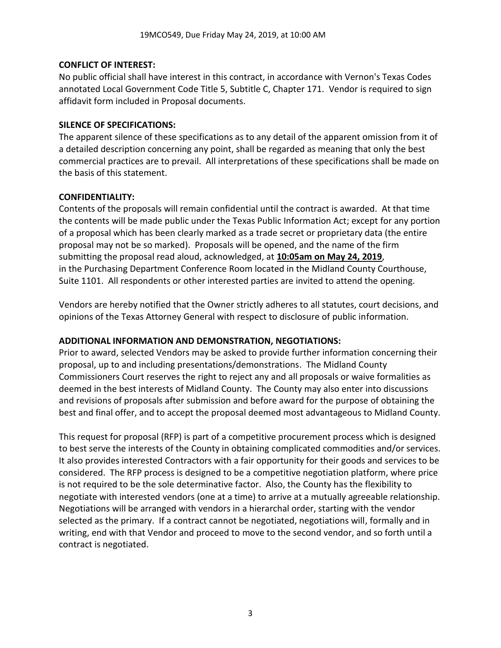### **CONFLICT OF INTEREST:**

No public official shall have interest in this contract, in accordance with Vernon's Texas Codes annotated Local Government Code Title 5, Subtitle C, Chapter 171. Vendor is required to sign affidavit form included in Proposal documents.

### **SILENCE OF SPECIFICATIONS:**

The apparent silence of these specifications as to any detail of the apparent omission from it of a detailed description concerning any point, shall be regarded as meaning that only the best commercial practices are to prevail. All interpretations of these specifications shall be made on the basis of this statement.

### **CONFIDENTIALITY:**

Contents of the proposals will remain confidential until the contract is awarded. At that time the contents will be made public under the Texas Public Information Act; except for any portion of a proposal which has been clearly marked as a trade secret or proprietary data (the entire proposal may not be so marked). Proposals will be opened, and the name of the firm submitting the proposal read aloud, acknowledged, at **10:05am on May 24, 2019**, in the Purchasing Department Conference Room located in the Midland County Courthouse, Suite 1101. All respondents or other interested parties are invited to attend the opening.

Vendors are hereby notified that the Owner strictly adheres to all statutes, court decisions, and opinions of the Texas Attorney General with respect to disclosure of public information.

## **ADDITIONAL INFORMATION AND DEMONSTRATION, NEGOTIATIONS:**

Prior to award, selected Vendors may be asked to provide further information concerning their proposal, up to and including presentations/demonstrations. The Midland County Commissioners Court reserves the right to reject any and all proposals or waive formalities as deemed in the best interests of Midland County. The County may also enter into discussions and revisions of proposals after submission and before award for the purpose of obtaining the best and final offer, and to accept the proposal deemed most advantageous to Midland County.

This request for proposal (RFP) is part of a competitive procurement process which is designed to best serve the interests of the County in obtaining complicated commodities and/or services. It also provides interested Contractors with a fair opportunity for their goods and services to be considered. The RFP process is designed to be a competitive negotiation platform, where price is not required to be the sole determinative factor. Also, the County has the flexibility to negotiate with interested vendors (one at a time) to arrive at a mutually agreeable relationship. Negotiations will be arranged with vendors in a hierarchal order, starting with the vendor selected as the primary. If a contract cannot be negotiated, negotiations will, formally and in writing, end with that Vendor and proceed to move to the second vendor, and so forth until a contract is negotiated.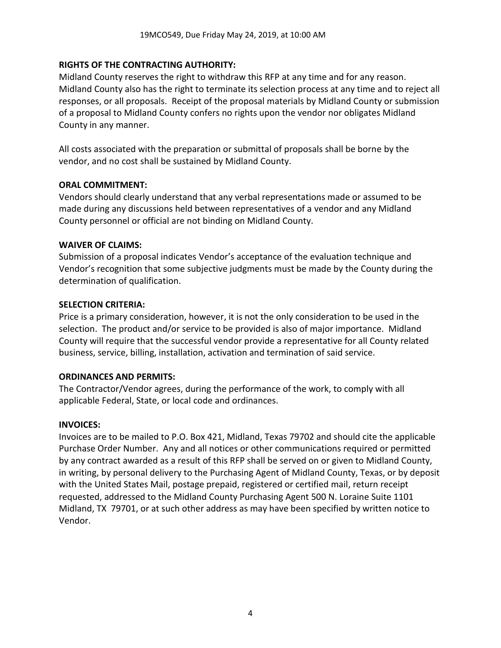### **RIGHTS OF THE CONTRACTING AUTHORITY:**

Midland County reserves the right to withdraw this RFP at any time and for any reason. Midland County also has the right to terminate its selection process at any time and to reject all responses, or all proposals. Receipt of the proposal materials by Midland County or submission of a proposal to Midland County confers no rights upon the vendor nor obligates Midland County in any manner.

All costs associated with the preparation or submittal of proposals shall be borne by the vendor, and no cost shall be sustained by Midland County.

### **ORAL COMMITMENT:**

Vendors should clearly understand that any verbal representations made or assumed to be made during any discussions held between representatives of a vendor and any Midland County personnel or official are not binding on Midland County.

### **WAIVER OF CLAIMS:**

Submission of a proposal indicates Vendor's acceptance of the evaluation technique and Vendor's recognition that some subjective judgments must be made by the County during the determination of qualification.

#### **SELECTION CRITERIA:**

Price is a primary consideration, however, it is not the only consideration to be used in the selection. The product and/or service to be provided is also of major importance. Midland County will require that the successful vendor provide a representative for all County related business, service, billing, installation, activation and termination of said service.

### **ORDINANCES AND PERMITS:**

The Contractor/Vendor agrees, during the performance of the work, to comply with all applicable Federal, State, or local code and ordinances.

### **INVOICES:**

Invoices are to be mailed to P.O. Box 421, Midland, Texas 79702 and should cite the applicable Purchase Order Number. Any and all notices or other communications required or permitted by any contract awarded as a result of this RFP shall be served on or given to Midland County, in writing, by personal delivery to the Purchasing Agent of Midland County, Texas, or by deposit with the United States Mail, postage prepaid, registered or certified mail, return receipt requested, addressed to the Midland County Purchasing Agent 500 N. Loraine Suite 1101 Midland, TX 79701, or at such other address as may have been specified by written notice to Vendor.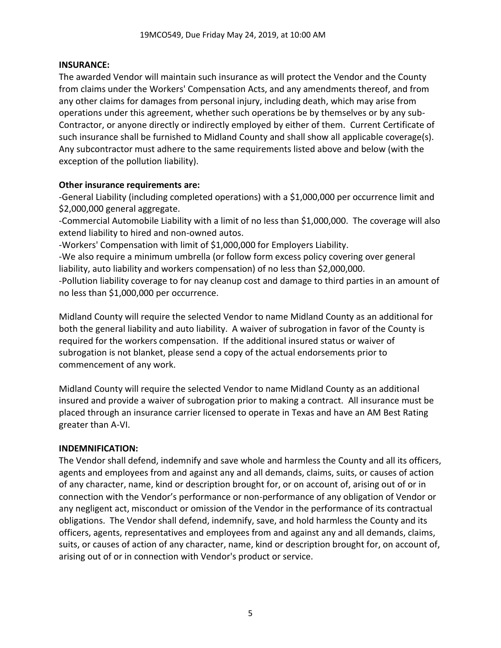### **INSURANCE:**

The awarded Vendor will maintain such insurance as will protect the Vendor and the County from claims under the Workers' Compensation Acts, and any amendments thereof, and from any other claims for damages from personal injury, including death, which may arise from operations under this agreement, whether such operations be by themselves or by any sub-Contractor, or anyone directly or indirectly employed by either of them. Current Certificate of such insurance shall be furnished to Midland County and shall show all applicable coverage(s). Any subcontractor must adhere to the same requirements listed above and below (with the exception of the pollution liability).

### **Other insurance requirements are:**

-General Liability (including completed operations) with a \$1,000,000 per occurrence limit and \$2,000,000 general aggregate.

-Commercial Automobile Liability with a limit of no less than \$1,000,000. The coverage will also extend liability to hired and non-owned autos.

-Workers' Compensation with limit of \$1,000,000 for Employers Liability.

-We also require a minimum umbrella (or follow form excess policy covering over general liability, auto liability and workers compensation) of no less than \$2,000,000.

-Pollution liability coverage to for nay cleanup cost and damage to third parties in an amount of no less than \$1,000,000 per occurrence.

Midland County will require the selected Vendor to name Midland County as an additional for both the general liability and auto liability. A waiver of subrogation in favor of the County is required for the workers compensation. If the additional insured status or waiver of subrogation is not blanket, please send a copy of the actual endorsements prior to commencement of any work.

Midland County will require the selected Vendor to name Midland County as an additional insured and provide a waiver of subrogation prior to making a contract. All insurance must be placed through an insurance carrier licensed to operate in Texas and have an AM Best Rating greater than A-VI.

## **INDEMNIFICATION:**

The Vendor shall defend, indemnify and save whole and harmless the County and all its officers, agents and employees from and against any and all demands, claims, suits, or causes of action of any character, name, kind or description brought for, or on account of, arising out of or in connection with the Vendor's performance or non-performance of any obligation of Vendor or any negligent act, misconduct or omission of the Vendor in the performance of its contractual obligations. The Vendor shall defend, indemnify, save, and hold harmless the County and its officers, agents, representatives and employees from and against any and all demands, claims, suits, or causes of action of any character, name, kind or description brought for, on account of, arising out of or in connection with Vendor's product or service.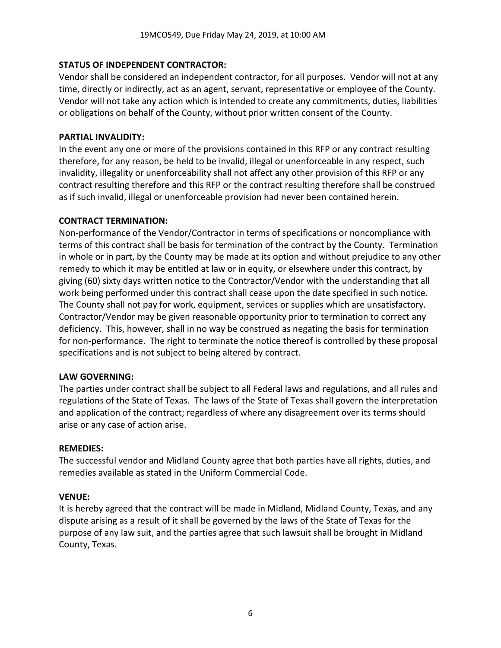### **STATUS OF INDEPENDENT CONTRACTOR:**

Vendor shall be considered an independent contractor, for all purposes. Vendor will not at any time, directly or indirectly, act as an agent, servant, representative or employee of the County. Vendor will not take any action which is intended to create any commitments, duties, liabilities or obligations on behalf of the County, without prior written consent of the County.

### **PARTIAL INVALIDITY:**

In the event any one or more of the provisions contained in this RFP or any contract resulting therefore, for any reason, be held to be invalid, illegal or unenforceable in any respect, such invalidity, illegality or unenforceability shall not affect any other provision of this RFP or any contract resulting therefore and this RFP or the contract resulting therefore shall be construed as if such invalid, illegal or unenforceable provision had never been contained herein.

### **CONTRACT TERMINATION:**

Non-performance of the Vendor/Contractor in terms of specifications or noncompliance with terms of this contract shall be basis for termination of the contract by the County. Termination in whole or in part, by the County may be made at its option and without prejudice to any other remedy to which it may be entitled at law or in equity, or elsewhere under this contract, by giving (60) sixty days written notice to the Contractor/Vendor with the understanding that all work being performed under this contract shall cease upon the date specified in such notice. The County shall not pay for work, equipment, services or supplies which are unsatisfactory. Contractor/Vendor may be given reasonable opportunity prior to termination to correct any deficiency. This, however, shall in no way be construed as negating the basis for termination for non-performance. The right to terminate the notice thereof is controlled by these proposal specifications and is not subject to being altered by contract.

### **LAW GOVERNING:**

The parties under contract shall be subject to all Federal laws and regulations, and all rules and regulations of the State of Texas. The laws of the State of Texas shall govern the interpretation and application of the contract; regardless of where any disagreement over its terms should arise or any case of action arise.

### **REMEDIES:**

The successful vendor and Midland County agree that both parties have all rights, duties, and remedies available as stated in the Uniform Commercial Code.

### **VENUE:**

It is hereby agreed that the contract will be made in Midland, Midland County, Texas, and any dispute arising as a result of it shall be governed by the laws of the State of Texas for the purpose of any law suit, and the parties agree that such lawsuit shall be brought in Midland County, Texas.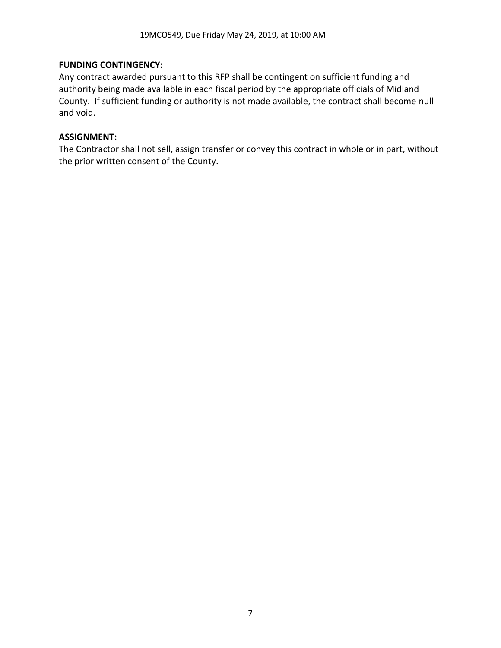### **FUNDING CONTINGENCY:**

Any contract awarded pursuant to this RFP shall be contingent on sufficient funding and authority being made available in each fiscal period by the appropriate officials of Midland County. If sufficient funding or authority is not made available, the contract shall become null and void.

### **ASSIGNMENT:**

The Contractor shall not sell, assign transfer or convey this contract in whole or in part, without the prior written consent of the County.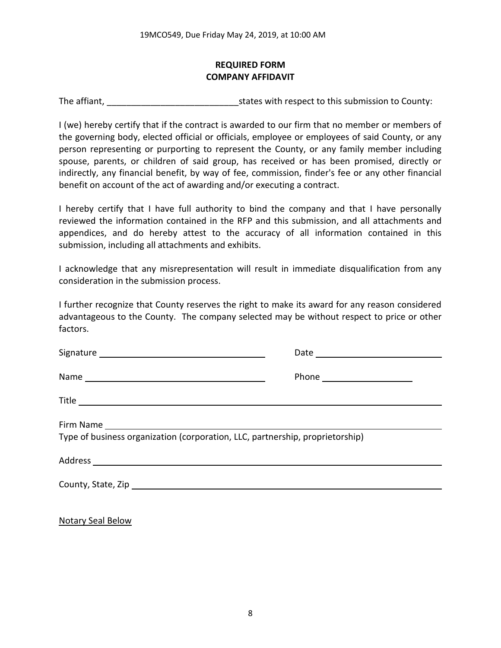## **REQUIRED FORM COMPANY AFFIDAVIT**

The affiant, The affiant,  $\frac{1}{2}$  is tates with respect to this submission to County:

I (we) hereby certify that if the contract is awarded to our firm that no member or members of the governing body, elected official or officials, employee or employees of said County, or any person representing or purporting to represent the County, or any family member including spouse, parents, or children of said group, has received or has been promised, directly or indirectly, any financial benefit, by way of fee, commission, finder's fee or any other financial benefit on account of the act of awarding and/or executing a contract.

I hereby certify that I have full authority to bind the company and that I have personally reviewed the information contained in the RFP and this submission, and all attachments and appendices, and do hereby attest to the accuracy of all information contained in this submission, including all attachments and exhibits.

I acknowledge that any misrepresentation will result in immediate disqualification from any consideration in the submission process.

I further recognize that County reserves the right to make its award for any reason considered advantageous to the County. The company selected may be without respect to price or other factors.

| Type of business organization (corporation, LLC, partnership, proprietorship) |  |
|-------------------------------------------------------------------------------|--|
|                                                                               |  |
|                                                                               |  |
|                                                                               |  |

Notary Seal Below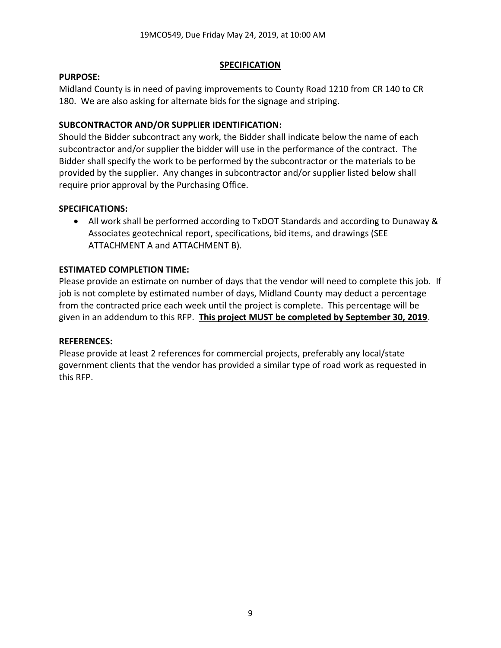### **SPECIFICATION**

### **PURPOSE:**

Midland County is in need of paving improvements to County Road 1210 from CR 140 to CR 180. We are also asking for alternate bids for the signage and striping.

## **SUBCONTRACTOR AND/OR SUPPLIER IDENTIFICATION:**

Should the Bidder subcontract any work, the Bidder shall indicate below the name of each subcontractor and/or supplier the bidder will use in the performance of the contract. The Bidder shall specify the work to be performed by the subcontractor or the materials to be provided by the supplier. Any changes in subcontractor and/or supplier listed below shall require prior approval by the Purchasing Office.

## **SPECIFICATIONS:**

• All work shall be performed according to TxDOT Standards and according to Dunaway & Associates geotechnical report, specifications, bid items, and drawings (SEE ATTACHMENT A and ATTACHMENT B).

# **ESTIMATED COMPLETION TIME:**

Please provide an estimate on number of days that the vendor will need to complete this job. If job is not complete by estimated number of days, Midland County may deduct a percentage from the contracted price each week until the project is complete. This percentage will be given in an addendum to this RFP. **This project MUST be completed by September 30, 2019**.

### **REFERENCES:**

Please provide at least 2 references for commercial projects, preferably any local/state government clients that the vendor has provided a similar type of road work as requested in this RFP.